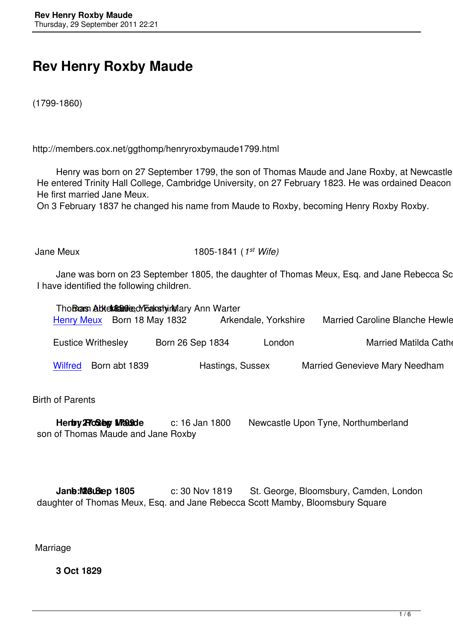## **Rev Henry Roxby Maude**

(1799-1860)

http://members.cox.net/ggthomp/henryroxbymaude1799.html

Henry was born on 27 September 1799, the son of Thomas Maude and Jane Roxby, at Newcastle up He entered Trinity Hall College, Cambridge University, on 27 February 1823. He was ordained Deacon in He first married Jane Meux.

On 3 February 1837 he changed his name from Maude to Roxby, becoming Henry Roxby Roxby.

Jane Meux 1805-1841 (*1 st Wife)*

Jane was born on 23 September 1805, the daughter of Thomas Meux, Esq. and Jane Rebecca Scott I have identified the following children.

|         | Henry Meux Born 18 May 1832 | Tho Brans Abten & Ballie dy Takety rielary Ann Warter<br>Arkendale, Yorkshire |                  |        | <b>Married Caroline Blanche Hewlett</b> |
|---------|-----------------------------|-------------------------------------------------------------------------------|------------------|--------|-----------------------------------------|
|         | <b>Eustice Writhesley</b>   | Born 26 Sep 1834                                                              |                  | London | <b>Married Matilda Catherin</b>         |
| Wilfred | Born abt 1839               |                                                                               | Hastings, Sussex |        | <b>Married Genevieve Mary Needham</b>   |

Birth [of Pare](wilfredroxby1839.html)nts

| Henby <b>ProSelpy Mrande</b>       | c: 16 Jan 1800 | Newcastle Upon Tyne, Northumberland |  |
|------------------------------------|----------------|-------------------------------------|--|
| son of Thomas Maude and Jane Roxby |                |                                     |  |

**Jane:Magu Bep 1805** c: 30 Nov 1819 St. George, Bloomsbury, Camden, London daughter of Thomas Meux, Esq. and Jane Rebecca Scott Mamby, Bloomsbury Square

Marriage

**3 Oct 1829**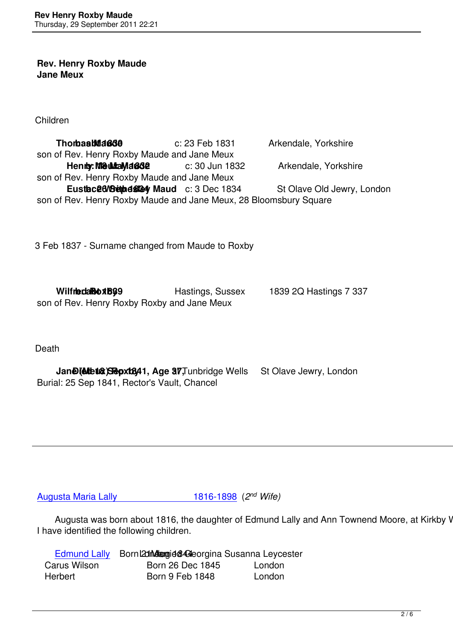## **Rev. Henry Roxby Maude Jane Meux**

Children

**Thomas Maceus b: 23 Feb 1831 Arkendale, Yorkshire**  son of Rev. Henry Roxby Maude and Jane Meux **Henry: MeutaMa662** c: 30 Jun 1832 Arkendale, Yorkshire son of Rev. Henry Roxby Maude and Jane Meux **Eustace Weithesley Maud c: 3 Dec 1834** St Olave Old Jewry, London son of Rev. Henry Roxby Maude and Jane Meux, 28 Bloomsbury Square

3 Feb 1837 - Surname changed from Maude to Roxby

**Wilfred RoxB99** Hastings, Sussex 1839 2Q Hastings 7 337 son of Rev. Henry Roxby Roxby and Jane Meux

Death

**Jane (Meters) Sepx1841, Age 37, Tunbridge Wells St Olave Jewry, London** Burial: 25 Sep 1841, Rector's Vault, Chancel

**Augusta Maria Lally** 1816-1898 (2<sup>nd</sup> Wife)

Augusta was born about 1816, the daughter of Edmund Lally and Ann Townend Moore, at Kirkby Wha [I have identified the following children.](johnmoore.html#husb2) 

|              | Edmund Lally Born 20th dangied & Georgina Susanna Leycester |        |  |  |
|--------------|-------------------------------------------------------------|--------|--|--|
| Carus Wilson | Born 26 Dec 1845                                            | London |  |  |
| Herbert      | <b>Born 9 Feb 1848</b>                                      | London |  |  |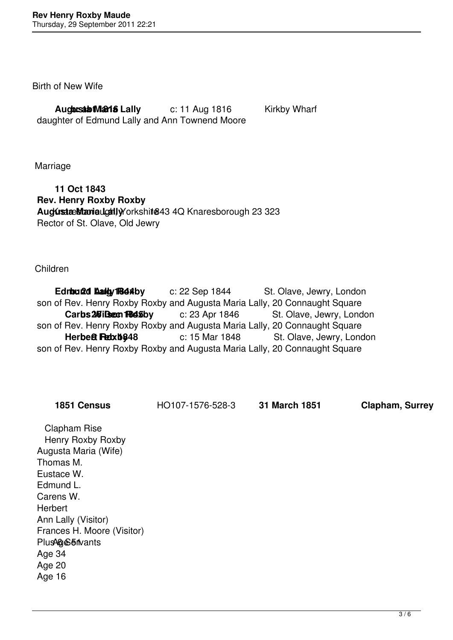Birth of New Wife

**Augusta Maria Lally** c: 11 Aug 1816 Kirkby Wharf daughter of Edmund Lally and Ann Townend Moore

Marriage

 **11 Oct 1843 Rev. Henry Roxby Roxby Augusta Maria Lally** Knaresborough, Yorkshire 1843 4Q Knaresborough 23 323 Rector of St. Olave, Old Jewry

Children

**Edmund Lally Rest by** c: 22 Sep 1844 St. Olave, Jewry, London son of Rev. Henry Roxby Roxby and Augusta Maria Lally, 20 Connaught Square **Carbs 26 iBeen Re45by** c: 23 Apr 1846 St. Olave, Jewry, London son of Rev. Henry Roxby Roxby and Augusta Maria Lally, 20 Connaught Square **Herbett Rebxb848** c: 15 Mar 1848 St. Olave, Jewry, London son of Rev. Henry Roxby Roxby and Augusta Maria Lally, 20 Connaught Square

**1851 Census** HO107-1576-528-3 **31 March 1851 Clapham, Surrey**

 Clapham Rise Henry Roxby Roxby Augusta Maria (Wife) Thomas M. Eustace W. Edmund L. Carens W. **Herbert**  Ann Lally (Visitor) Frances H. Moore (Visitor) Plus 46 Servants Age 34 Age 20 Age 16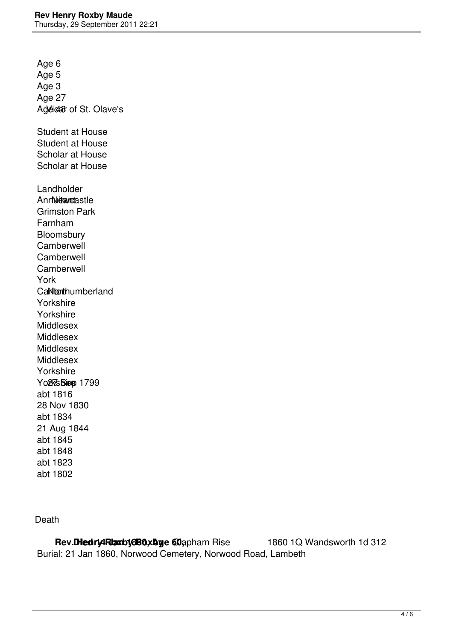Age 6 Age 5 Age 3 Age 27 Age ear of St. Olave's Student at House Student at House Scholar at House Scholar at House Landholder AnnNewcastle Grimston Park Farnham **Bloomsbury**  Camberwell **Camberwell Camberwell**  York CaNtonthumberland Yorkshire Yorkshire Middlesex Middlesex Middlesex Middlesex Yorkshire Yo<sub>fks</sub>Siee 1799 abt 1816 28 Nov 1830 abt 1834 21 Aug 1844 abt 1845 abt 1848 abt 1823 abt 1802

Death

**Rev. Died rightarby 880 x Age 60 apham Rise 1860 1Q Wandsworth 1d 312** Burial: 21 Jan 1860, Norwood Cemetery, Norwood Road, Lambeth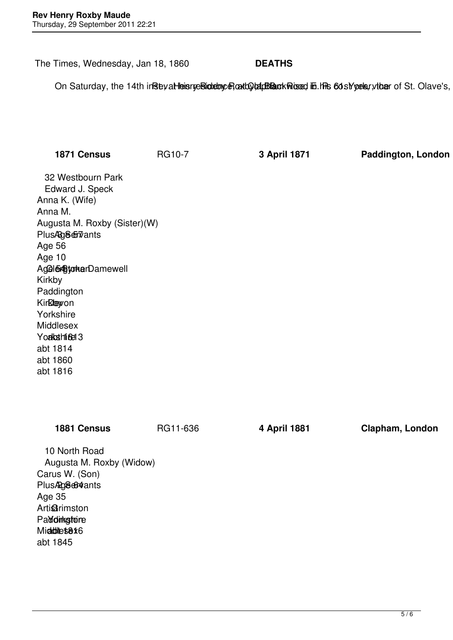The Times, Wednesday, Jan 18, 1860 **DEATHS**

On Saturday, the 14th in Rise yat Heisry e Bioteton, e at the Rise of E. Rev. Roxby Roxby Roxby Roxby Roxby, L

| 1871 Census                                                                                                                                                                                                                                                                                     | <b>RG10-7</b> | 3 April 1871 | Paddington, London |
|-------------------------------------------------------------------------------------------------------------------------------------------------------------------------------------------------------------------------------------------------------------------------------------------------|---------------|--------------|--------------------|
| 32 Westbourn Park<br>Edward J. Speck<br>Anna K. (Wife)<br>Anna M.<br>Augusta M. Roxby (Sister)(W)<br>PlusAg&ervants<br>Age 56<br>Age 10<br>Agele <sub>st</sub> yckerDamewell<br>Kirkby<br>Paddington<br>Kirklewon<br>Yorkshire<br>Middlesex<br>Youkashing 3<br>abt 1814<br>abt 1860<br>abt 1816 |               |              |                    |
| 1881 Census                                                                                                                                                                                                                                                                                     | RG11-636      | 4 April 1881 | Clapham, London    |
| 10 North Road<br>Augusta M. Roxby (Widow)<br>Carus W. (Son)<br>Plus Ag8664 ants<br>Age 35<br><b>Artigirimston</b><br>Paddinkgtore<br>Middles8*6<br>abt 1845                                                                                                                                     |               |              |                    |